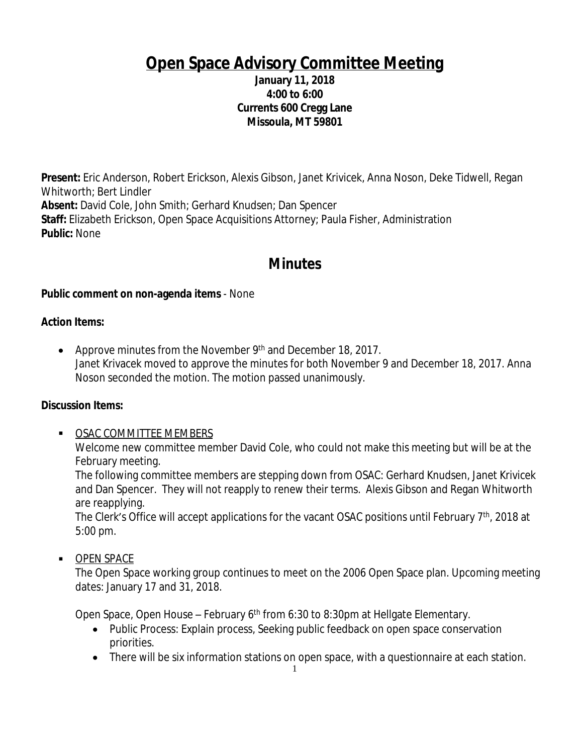# **Open Space Advisory Committee Meeting**

#### **January 11, 2018 4:00 to 6:00 Currents 600 Cregg Lane Missoula, MT 59801**

**Present:** Eric Anderson, Robert Erickson, Alexis Gibson, Janet Krivicek, Anna Noson, Deke Tidwell, Regan Whitworth; Bert Lindler **Absent:** David Cole, John Smith; Gerhard Knudsen; Dan Spencer **Staff:** Elizabeth Erickson, Open Space Acquisitions Attorney; Paula Fisher, Administration **Public:** None

# **Minutes**

#### **Public comment on non-agenda items** - None

#### **Action Items:**

• Approve minutes from the November  $9<sup>th</sup>$  and December 18, 2017. Janet Krivacek moved to approve the minutes for both November 9 and December 18, 2017. Anna Noson seconded the motion. The motion passed unanimously.

#### **Discussion Items:**

**OSAC COMMITTEE MEMBERS** Welcome new committee member David Cole, who could not make this meeting but will be at the February meeting.

The following committee members are stepping down from OSAC: Gerhard Knudsen, Janet Krivicek and Dan Spencer. They will not reapply to renew their terms. Alexis Gibson and Regan Whitworth are reapplying.

The Clerk's Office will accept applications for the vacant OSAC positions until February 7<sup>th</sup>, 2018 at 5:00 pm.

**DPEN SPACE** 

The Open Space working group continues to meet on the 2006 Open Space plan. Upcoming meeting dates: January 17 and 31, 2018.

Open Space, Open House – February 6<sup>th</sup> from 6:30 to 8:30pm at Hellgate Elementary.

- Public Process: Explain process, Seeking public feedback on open space conservation priorities.
- There will be six information stations on open space, with a questionnaire at each station.